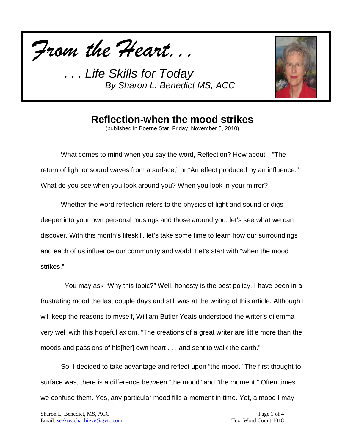



#### **Reflection-when the mood strikes**

(published in Boerne Star, Friday, November 5, 2010)

What comes to mind when you say the word, Reflection? How about—"The return of light or sound waves from a surface," or "An effect produced by an influence." What do you see when you look around you? When you look in your mirror?

Whether the word reflection refers to the physics of light and sound or digs deeper into your own personal musings and those around you, let's see what we can discover. With this month's lifeskill, let's take some time to learn how our surroundings and each of us influence our community and world. Let's start with "when the mood strikes."

 You may ask "Why this topic?" Well, honesty is the best policy. I have been in a frustrating mood the last couple days and still was at the writing of this article. Although I will keep the reasons to myself, William Butler Yeats understood the writer's dilemma very well with this hopeful axiom. "The creations of a great writer are little more than the moods and passions of his[her] own heart . . . and sent to walk the earth."

So, I decided to take advantage and reflect upon "the mood." The first thought to surface was, there is a difference between "the mood" and "the moment." Often times we confuse them. Yes, any particular mood fills a moment in time. Yet, a mood I may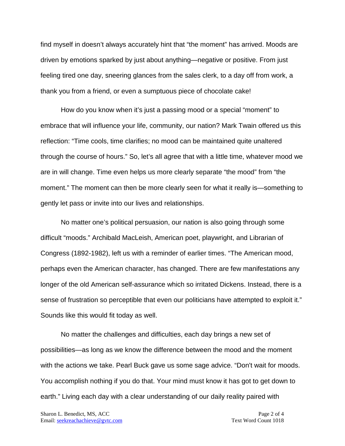find myself in doesn't always accurately hint that "the moment" has arrived. Moods are driven by emotions sparked by just about anything—negative or positive. From just feeling tired one day, sneering glances from the sales clerk, to a day off from work, a thank you from a friend, or even a sumptuous piece of chocolate cake!

How do you know when it's just a passing mood or a special "moment" to embrace that will influence your life, community, our nation? Mark Twain offered us this reflection: "Time cools, time clarifies; no mood can be maintained quite unaltered through the course of hours." So, let's all agree that with a little time, whatever mood we are in will change. Time even helps us more clearly separate "the mood" from "the moment." The moment can then be more clearly seen for what it really is—something to gently let pass or invite into our lives and relationships.

No matter one's political persuasion, our nation is also going through some difficult "moods." Archibald MacLeish, American poet, playwright, and Librarian of Congress (1892-1982), left us with a reminder of earlier times. "The American mood, perhaps even the American character, has changed. There are few manifestations any longer of the old American self-assurance which so irritated Dickens. Instead, there is a sense of frustration so perceptible that even our politicians have attempted to exploit it." Sounds like this would fit today as well.

No matter the challenges and difficulties, each day brings a new set of possibilities—as long as we know the difference between the mood and the moment with the actions we take. Pearl Buck gave us some sage advice. "Don't wait for moods. You accomplish nothing if you do that. Your mind must know it has got to get down to earth." Living each day with a clear understanding of our daily reality paired with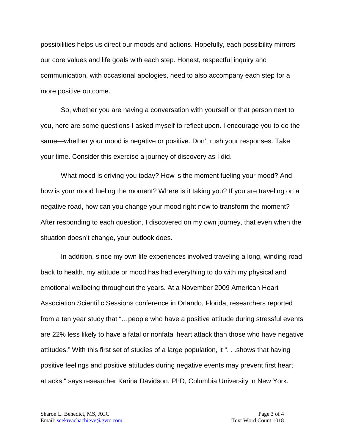possibilities helps us direct our moods and actions. Hopefully, each possibility mirrors our core values and life goals with each step. Honest, respectful inquiry and communication, with occasional apologies, need to also accompany each step for a more positive outcome.

So, whether you are having a conversation with yourself or that person next to you, here are some questions I asked myself to reflect upon. I encourage you to do the same—whether your mood is negative or positive. Don't rush your responses. Take your time. Consider this exercise a journey of discovery as I did.

What mood is driving you today? How is the moment fueling your mood? And how is your mood fueling the moment? Where is it taking you? If you are traveling on a negative road, how can you change your mood right now to transform the moment? After responding to each question, I discovered on my own journey, that even when the situation doesn't change, your outlook does.

In addition, since my own life experiences involved traveling a long, winding road back to health, my attitude or mood has had everything to do with my physical and emotional wellbeing throughout the years. At a November 2009 American Heart Association Scientific Sessions conference in Orlando, Florida, researchers reported from a ten year study that "...people who have a positive attitude during stressful events are 22% less likely to have a fatal or nonfatal heart attack than those who have negative attitudes." With this first set of studies of a large population, it ". . .shows that having positive feelings and positive attitudes during negative events may prevent first heart attacks," says researcher Karina Davidson, PhD, Columbia University in New York.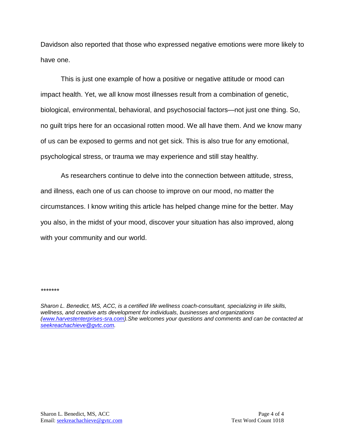Davidson also reported that those who expressed negative emotions were more likely to have one.

This is just one example of how a positive or negative attitude or mood can impact health. Yet, we all know most illnesses result from a combination of genetic, biological, environmental, behavioral, and psychosocial factors—not just one thing. So, no guilt trips here for an occasional rotten mood. We all have them. And we know many of us can be exposed to germs and not get sick. This is also true for any emotional, psychological stress, or trauma we may experience and still stay healthy.

As researchers continue to delve into the connection between attitude, stress, and illness, each one of us can choose to improve on our mood, no matter the circumstances. I know writing this article has helped change mine for the better. May you also, in the midst of your mood, discover your situation has also improved, along with your community and our world.

*\*\*\*\*\*\*\**

*Sharon L. Benedict, MS, ACC, is a certified life wellness coach-consultant, specializing in life skills, wellness, and creative arts development for individuals, businesses and organizations [\(www.harvestenterprises-sra.com\)](http://www.harvestenterprises-sra.com/).She welcomes your questions and comments and can be contacted at [seekreachachieve@gvtc.com.](mailto:seekreachachieve@gvtc.com)*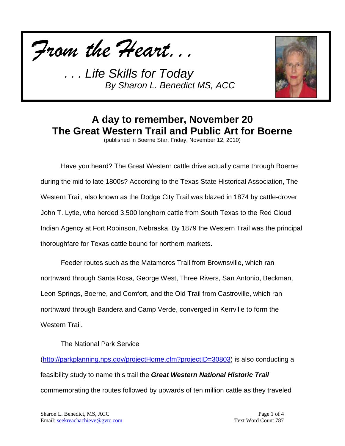



# **A day to remember, November 20 The Great Western Trail and Public Art for Boerne**

(published in Boerne Star, Friday, November 12, 2010)

Have you heard? The Great Western cattle drive actually came through Boerne during the mid to late 1800s? According to the Texas State Historical Association, The Western Trail, also known as the Dodge City Trail was blazed in 1874 by cattle-drover John T. Lytle, who herded 3,500 longhorn cattle from South Texas to the Red Cloud Indian Agency at Fort Robinson, Nebraska. By 1879 the Western Trail was the principal thoroughfare for Texas cattle bound for northern markets.

Feeder routes such as the Matamoros Trail from Brownsville, which ran northward through Santa Rosa, George West, Three Rivers, San Antonio, Beckman, Leon Springs, Boerne, and Comfort, and the Old Trail from Castroville, which ran northward through Bandera and Camp Verde, converged in Kerrville to form the Western Trail.

The National Park Service

[\(http://parkplanning.nps.gov/projectHome.cfm?projectID=30803\)](http://parkplanning.nps.gov/projectHome.cfm?projectID=30803) is also conducting a feasibility study to name this trail the *Great Western National Historic Trail* commemorating the routes followed by upwards of ten million cattle as they traveled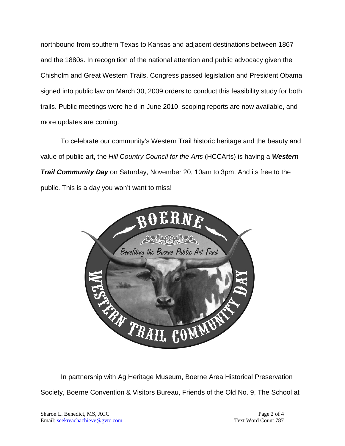northbound from southern Texas to Kansas and adjacent destinations between 1867 and the 1880s. In recognition of the national attention and public advocacy given the Chisholm and Great Western Trails, Congress passed legislation and President Obama signed into public law on March 30, 2009 orders to conduct this feasibility study for both trails. Public meetings were held in June 2010, scoping reports are now available, and more updates are coming.

To celebrate our community's Western Trail historic heritage and the beauty and value of public art, the *Hill Country Council for the Arts* (HCCArts) is having a *Western Trail Community Day* on Saturday, November 20, 10am to 3pm. And its free to the public. This is a day you won't want to miss!



In partnership with Ag Heritage Museum, Boerne Area Historical Preservation Society, Boerne Convention & Visitors Bureau, Friends of the Old No. 9, The School at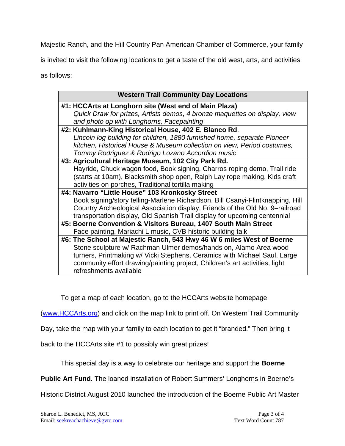Majestic Ranch, and the Hill Country Pan American Chamber of Commerce, your family

is invited to visit the following locations to get a taste of the old west, arts, and activities

as follows:

| <b>Western Trail Community Day Locations</b>                                   |
|--------------------------------------------------------------------------------|
| #1: HCCArts at Longhorn site (West end of Main Plaza)                          |
| Quick Draw for prizes, Artists demos, 4 bronze maquettes on display, view      |
| and photo op with Longhorns, Facepainting                                      |
| #2: Kuhlmann-King Historical House, 402 E. Blanco Rd.                          |
| Lincoln log building for children, 1880 furnished home, separate Pioneer       |
| kitchen, Historical House & Museum collection on view, Period costumes,        |
| Tommy Rodriguez & Rodrigo Lozano Accordion music                               |
| #3: Agricultural Heritage Museum, 102 City Park Rd.                            |
| Hayride, Chuck wagon food, Book signing, Charros roping demo, Trail ride       |
| (starts at 10am), Blacksmith shop open, Ralph Lay rope making, Kids craft      |
| activities on porches, Traditional tortilla making                             |
| #4: Navarro "Little House" 103 Kronkosky Street                                |
| Book signing/story telling-Marlene Richardson, Bill Csanyi-Flintknapping, Hill |
| Country Archeological Association display, Friends of the Old No. 9-railroad   |
| transportation display, Old Spanish Trail display for upcoming centennial      |
| #5: Boerne Convention & Visitors Bureau, 1407 South Main Street                |
| Face painting, Mariachi L music, CVB historic building talk                    |
| #6: The School at Majestic Ranch, 543 Hwy 46 W 6 miles West of Boerne          |
| Stone sculpture w/ Rachman Ulmer demos/hands on, Alamo Area wood               |
| turners, Printmaking w/ Vicki Stephens, Ceramics with Michael Saul, Large      |
| community effort drawing/painting project, Children's art activities, light    |
| refreshments available                                                         |

To get a map of each location, go to the HCCArts website homepage

[\(www.HCCArts.org\)](http://www.hccarts.org/) and click on the map link to print off. On Western Trail Community

Day, take the map with your family to each location to get it "branded." Then bring it

back to the HCCArts site #1 to possibly win great prizes!

This special day is a way to celebrate our heritage and support the **Boerne** 

**Public Art Fund.** The loaned installation of Robert Summers' Longhorns in Boerne's

Historic District August 2010 launched the introduction of the Boerne Public Art Master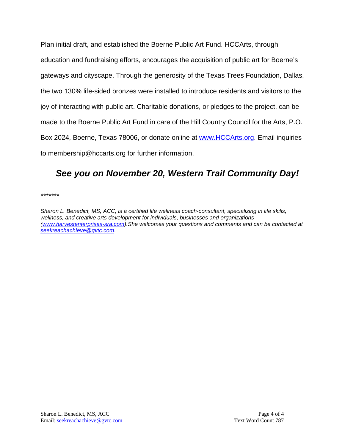Plan initial draft, and established the Boerne Public Art Fund. HCCArts, through education and fundraising efforts, encourages the acquisition of public art for Boerne's gateways and cityscape. Through the generosity of the Texas Trees Foundation, Dallas, the two 130% life-sided bronzes were installed to introduce residents and visitors to the joy of interacting with public art. Charitable donations, or pledges to the project, can be made to the Boerne Public Art Fund in care of the Hill Country Council for the Arts, P.O. Box 2024, Boerne, Texas 78006, or donate online at [www.HCCArts.org.](http://www.hccarts.org/) Email inquiries to membership@hccarts.org for further information.

#### *See you on November 20, Western Trail Community Day!*

*\*\*\*\*\*\*\**

*Sharon L. Benedict, MS, ACC, is a certified life wellness coach-consultant, specializing in life skills, wellness, and creative arts development for individuals, businesses and organizations [\(www.harvestenterprises-sra.com\)](http://www.harvestenterprises-sra.com/).She welcomes your questions and comments and can be contacted at [seekreachachieve@gvtc.com.](mailto:seekreachachieve@gvtc.com)*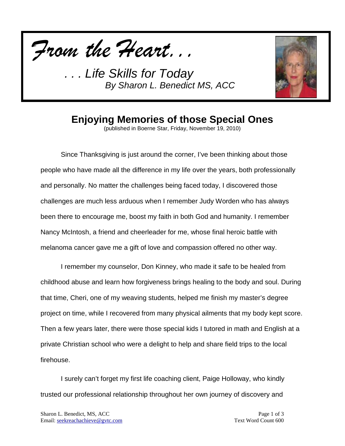



### **Enjoying Memories of those Special Ones**

(published in Boerne Star, Friday, November 19, 2010)

Since Thanksgiving is just around the corner, I've been thinking about those people who have made all the difference in my life over the years, both professionally and personally. No matter the challenges being faced today, I discovered those challenges are much less arduous when I remember Judy Worden who has always been there to encourage me, boost my faith in both God and humanity. I remember Nancy McIntosh, a friend and cheerleader for me, whose final heroic battle with melanoma cancer gave me a gift of love and compassion offered no other way.

I remember my counselor, Don Kinney, who made it safe to be healed from childhood abuse and learn how forgiveness brings healing to the body and soul. During that time, Cheri, one of my weaving students, helped me finish my master's degree project on time, while I recovered from many physical ailments that my body kept score. Then a few years later, there were those special kids I tutored in math and English at a private Christian school who were a delight to help and share field trips to the local firehouse.

I surely can't forget my first life coaching client, Paige Holloway, who kindly trusted our professional relationship throughout her own journey of discovery and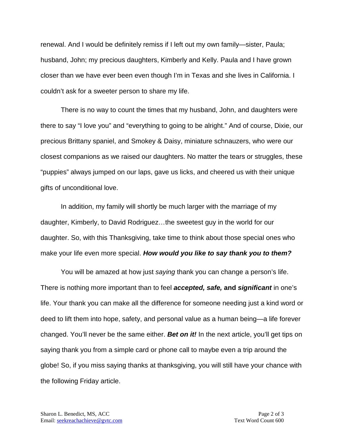renewal. And I would be definitely remiss if I left out my own family—sister, Paula; husband, John; my precious daughters, Kimberly and Kelly. Paula and I have grown closer than we have ever been even though I'm in Texas and she lives in California. I couldn't ask for a sweeter person to share my life.

There is no way to count the times that my husband, John, and daughters were there to say "I love you" and "everything to going to be alright." And of course, Dixie, our precious Brittany spaniel, and Smokey & Daisy, miniature schnauzers, who were our closest companions as we raised our daughters. No matter the tears or struggles, these "puppies" always jumped on our laps, gave us licks, and cheered us with their unique gifts of unconditional love.

In addition, my family will shortly be much larger with the marriage of my daughter, Kimberly, to David Rodriguez…the sweetest guy in the world for our daughter. So, with this Thanksgiving, take time to think about those special ones who make your life even more special. *How would you like to say thank you to them?* 

You will be amazed at how just *saying* thank you can change a person's life. There is nothing more important than to feel *accepted, safe,* **and** *significant* in one's life. Your thank you can make all the difference for someone needing just a kind word or deed to lift them into hope, safety, and personal value as a human being—a life forever changed. You'll never be the same either. *Bet on it!* In the next article, you'll get tips on saying thank you from a simple card or phone call to maybe even a trip around the globe! So, if you miss saying thanks at thanksgiving, you will still have your chance with the following Friday article.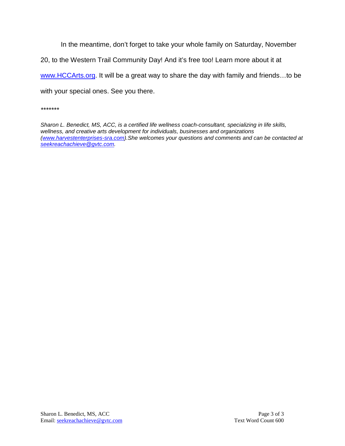In the meantime, don't forget to take your whole family on Saturday, November

20, to the Western Trail Community Day! And it's free too! Learn more about it at

[www.HCCArts.org.](http://www.hccarts.org/) It will be a great way to share the day with family and friends…to be

with your special ones. See you there.

*\*\*\*\*\*\*\**

*Sharon L. Benedict, MS, ACC, is a certified life wellness coach-consultant, specializing in life skills, wellness, and creative arts development for individuals, businesses and organizations [\(www.harvestenterprises-sra.com\)](http://www.harvestenterprises-sra.com/).She welcomes your questions and comments and can be contacted at [seekreachachieve@gvtc.com.](mailto:seekreachachieve@gvtc.com)*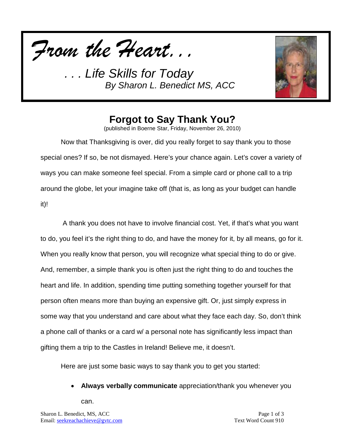



# **Forgot to Say Thank You?**

(published in Boerne Star, Friday, November 26, 2010)

Now that Thanksgiving is over, did you really forget to say thank you to those special ones? If so, be not dismayed. Here's your chance again. Let's cover a variety of ways you can make someone feel special. From a simple card or phone call to a trip around the globe, let your imagine take off (that is, as long as your budget can handle it)!

A thank you does not have to involve financial cost. Yet, if that's what you want to do, you feel it's the right thing to do, and have the money for it, by all means, go for it. When you really know that person, you will recognize what special thing to do or give. And, remember, a simple thank you is often just the right thing to do and touches the heart and life. In addition, spending time putting something together yourself for that person often means more than buying an expensive gift. Or, just simply express in some way that you understand and care about what they face each day. So, don't think a phone call of thanks or a card w/ a personal note has significantly less impact than gifting them a trip to the Castles in Ireland! Believe me, it doesn't.

Here are just some basic ways to say thank you to get you started:

• **Always verbally communicate** appreciation/thank you whenever you

can.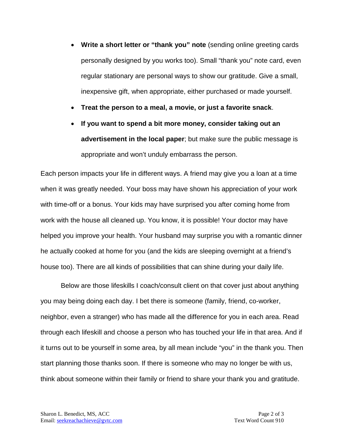- **Write a short letter or "thank you" note** (sending online greeting cards personally designed by you works too). Small "thank you" note card, even regular stationary are personal ways to show our gratitude. Give a small, inexpensive gift, when appropriate, either purchased or made yourself.
- **Treat the person to a meal, a movie, or just a favorite snack**.
- **If you want to spend a bit more money, consider taking out an advertisement in the local paper**; but make sure the public message is appropriate and won't unduly embarrass the person.

Each person impacts your life in different ways. A friend may give you a loan at a time when it was greatly needed. Your boss may have shown his appreciation of your work with time-off or a bonus. Your kids may have surprised you after coming home from work with the house all cleaned up. You know, it is possible! Your doctor may have helped you improve your health. Your husband may surprise you with a romantic dinner he actually cooked at home for you (and the kids are sleeping overnight at a friend's house too). There are all kinds of possibilities that can shine during your daily life.

Below are those lifeskills I coach/consult client on that cover just about anything you may being doing each day. I bet there is someone (family, friend, co-worker, neighbor, even a stranger) who has made all the difference for you in each area. Read through each lifeskill and choose a person who has touched your life in that area. And if it turns out to be yourself in some area, by all mean include "you" in the thank you. Then start planning those thanks soon. If there is someone who may no longer be with us, think about someone within their family or friend to share your thank you and gratitude.